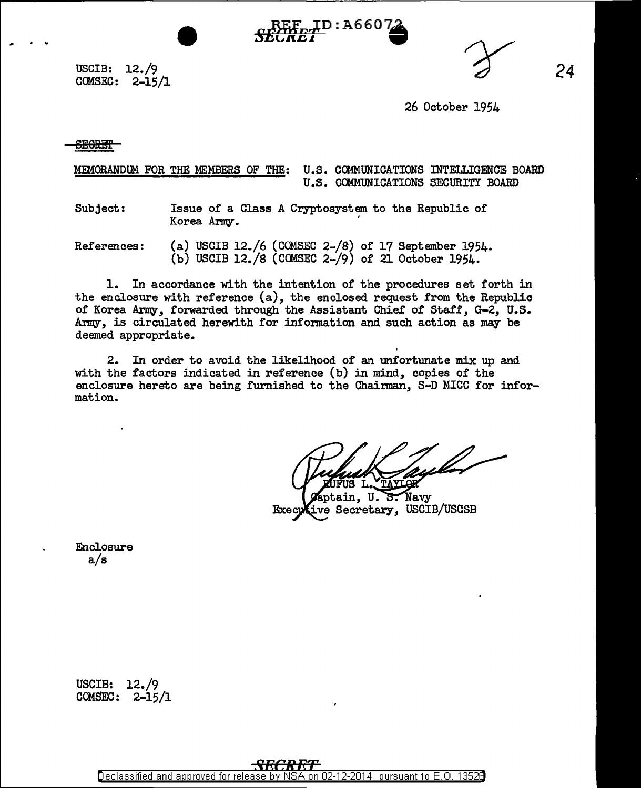**D:A660** 

USCIB: 12./9  $COMSEC: 2-15/1$ 

*24* 

26 October 1954

**SEORET** 

MEMORANDUM FOR THE MEMBERS OF THE: U.S. COMMUNICATIONS INTELLIGENCE BOARD U.S. COMMUNICATIONS SECURITY BOARD

Subject: Issue of a Class A Cryptosystem to the Republic of Korea Army.

References: (a) USCIB 12./6 (CCMSEC 2-/8) of 17 September 1954. (b) USCIB 12./8 (COMSEC 2-/9) of 21 October 1954.

1. In accordance with the intention of the procedures set forth in the enclosure with reference (a), the enclosed request from the Republic of Korea Army, forwarded through the Assistant Chief of Staff, G-2, U.S. Army, is circulated herewith for information and such action as may be deemed appropriate.

2. In order to avoid the likelihood of an unfortunate mix up and with the factors indicated in reference  $(b)$  in mind, copies of the enclosure hereto are being furnished to the Chairman, S-D MICC for information.

Navy ain. U. ਨive Secretary, USCIB/USCSB Execu

Enclosure a/s

USCIB: 12./9 COMSEC: 2-15/1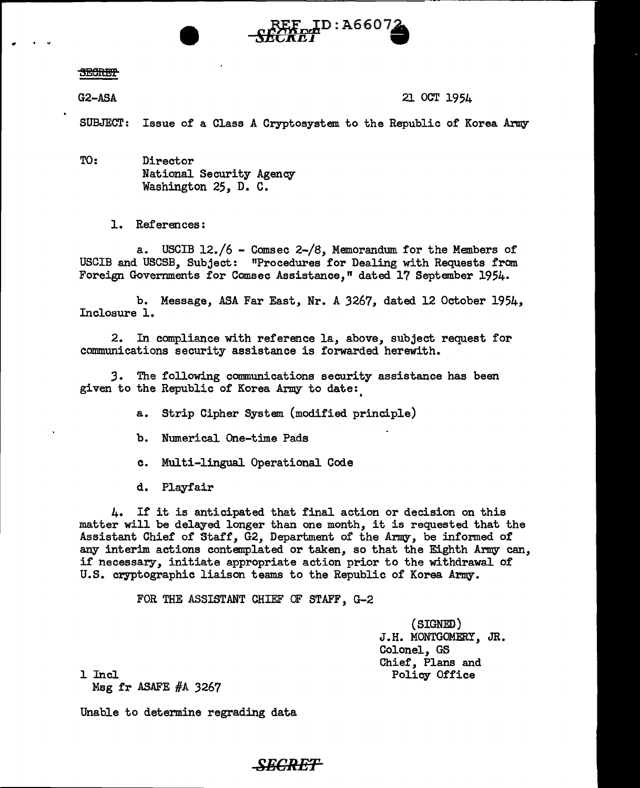## **SECRET**

..

G2-ASA 21 OCT 1954

SUBJECT: Issue of a Class A Cryptosystem to the Republic of Korea Army

 $\mathbf{F}^{\text{ID}:\text{A6607}}$ 

TO: Director National Security Agency Washington 25, D. C.

1. References :

USCIB 12./6 - Comsec 2-/8, Memorandum for the Members of USCIB and USCSB, Subject: "Procedures for Dealing with Requests from Foreign Governments for Comsec Assistance," dated 17 September 1954.

b. Message, ASA Far East, Nr. A 3267, dated 12 October 1954, Inclosure 1.

2. In compliance with reference la, above, subject request for communications security assistance is forwarded herewith.

*3.* The following communications security assistance has been given to the Republic of Korea Army to date:

a. Strip Cipher System (modified principle)

b. Numerical One-time Pads

c. Multi-lingual Operational Code

d. Playfair

4. If it is anticipated that final action or decision on this matter will be delayed longer than one month, it is requested that the Assistant Chief of Staff, G2, Department of the Army, be informed of any interim actions contemplated or taken, so that the Eighth Army can, if necessary, initiate appropriate action prior to the withdrawal or U.S. cryptographic liaison teams to the Republic of Korea Army.

FOR THE ASSISTANT CHIEF OF STAFF, G-2

(SIGNED) J.H. MONTGOMERY, JR. Colonel, GS Chief, Plans and Policy Office

1 Incl

Msg fr ASAFE #A 3267

Unable to determine regrading data

## *-SECRET*